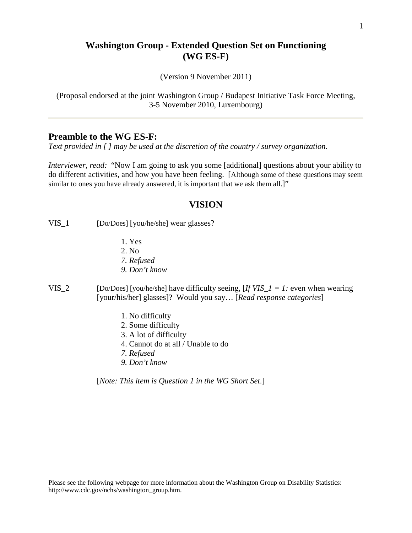# **Washington Group - Extended Question Set on Functioning (WG ES-F)**

(Version 9 November 2011)

(Proposal endorsed at the joint Washington Group / Budapest Initiative Task Force Meeting, 3-5 November 2010, Luxembourg)

# **Preamble to the WG ES-F:**

*Text provided in [ ] may be used at the discretion of the country / survey organization*.

*Interviewer, read:* "Now I am going to ask you some [additional] questions about your ability to do different activities, and how you have been feeling. [Although some of these questions may seem similar to ones you have already answered, it is important that we ask them all.]"

#### **VISION**

VIS<sub>\_1</sub> [Do/Does] [you/he/she] wear glasses?

- 1. Yes
- 2. No
- *7. Refused*
- *9. Don't know*
- VIS<sub>-2</sub> [Do/Does] [you/he/she] have difficulty seeing,  $[If VIS_1 = 1:$  even when wearing [your/his/her] glasses]? Would you say… [*Read response categories*]
	- 1. No difficulty
	- 2. Some difficulty
	- 3. A lot of difficulty
	- 4. Cannot do at all / Unable to do
	- *7. Refused*
	- *9. Don't know*

[*Note: This item is Question 1 in the WG Short Set.*]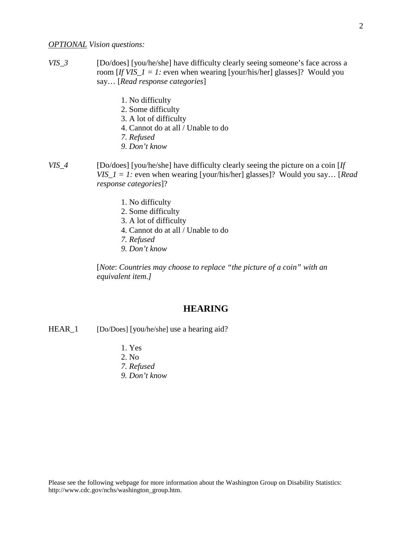#### *OPTIONAL Vision questions:*

- *VIS\_3* [Do/does] [you/he/she] have difficulty clearly seeing someone's face across a room  $[If VIS_1 = 1: even when wearing [your/his/her] glasses]$ ? Would you say… [*Read response categories*]
	- 1. No difficulty
	- 2. Some difficulty
	- 3. A lot of difficulty
	- 4. Cannot do at all / Unable to do
	- *7. Refused*
	- *9. Don't know*
- *VIS\_4* [Do/does] [you/he/she] have difficulty clearly seeing the picture on a coin [*If VIS\_1 = 1:* even when wearing [your/his/her] glasses]? Would you say… [*Read response categories*]?
	- 1. No difficulty
	- 2. Some difficulty
	- 3. A lot of difficulty
	- 4. Cannot do at all / Unable to do
	- *7. Refused*
	- *9. Don't know*

[*Note*: *Countries may choose to replace "the picture of a coin" with an equivalent item.]*

## **HEARING**

HEAR<sub>\_1</sub> [Do/Does] [you/he/she] use a hearing aid?

- 1. Yes
- 2. No
- *7. Refused*
- *9. Don't know*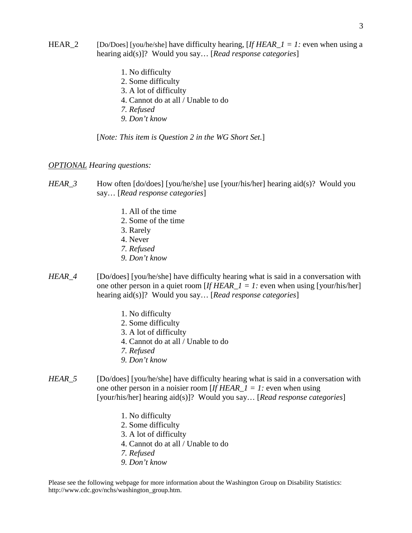- HEAR<sub>\_2</sub> [Do/Does] [you/he/she] have difficulty hearing,  $[If HERA -1] = 1$ : even when using a hearing aid(s)]? Would you say… [*Read response categories*]
	- 1. No difficulty
	- 2. Some difficulty
	- 3. A lot of difficulty
	- 4. Cannot do at all / Unable to do
	- *7. Refused*
	- *9. Don't know*

[*Note: This item is Question 2 in the WG Short Set.*]

#### *OPTIONAL Hearing questions:*

### *HEAR\_3* How often [do/does] [you/he/she] use [your/his/her] hearing aid(s)? Would you say… [*Read response categories*]

- 1. All of the time
- 2. Some of the time
- 3. Rarely
- 4. Never
- *7. Refused*
- *9. Don't know*
- *HEAR\_4* [Do/does] [you/he/she] have difficulty hearing what is said in a conversation with one other person in a quiet room  $[If HER_1 = 1: even when using [your/his/her]]$ hearing aid(s)]? Would you say… [*Read response categories*]
	- 1. No difficulty
	- 2. Some difficulty
	- 3. A lot of difficulty
	- 4. Cannot do at all / Unable to do
	- *7. Refused*
	- *9. Don't know*
- *HEAR\_5* [Do/does] [you/he/she] have difficulty hearing what is said in a conversation with one other person in a noisier room [*If HEAR\_1 = 1:* even when using [your/his/her] hearing aid(s)]? Would you say… [*Read response categories*]
	- 1. No difficulty
	- 2. Some difficulty
	- 3. A lot of difficulty
	- 4. Cannot do at all / Unable to do
	- *7. Refused*
	- *9. Don't know*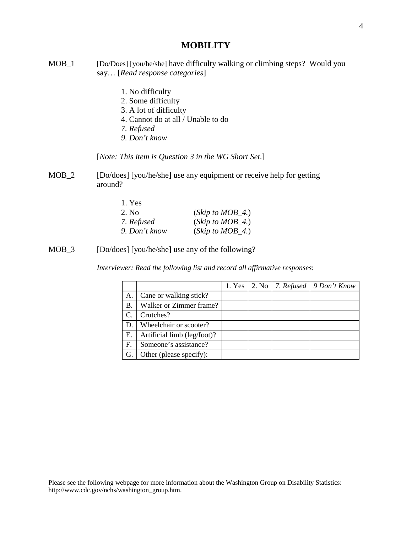### **MOBILITY**

- MOB\_1 [Do/Does] [you/he/she] have difficulty walking or climbing steps? Would you say… [*Read response categories*]
	- 1. No difficulty
	- 2. Some difficulty
	- 3. A lot of difficulty
	- 4. Cannot do at all / Unable to do
	- *7. Refused*
	- *9. Don't know*

[*Note: This item is Question 3 in the WG Short Set.*]

MOB<sub>\_2</sub> [Do/does] [you/he/she] use any equipment or receive help for getting around?

| 1. Yes        |                      |
|---------------|----------------------|
| 2. No         | (Skip to $MOB_4$ .)  |
| 7. Refused    | $(Skip\ to\ MOB_4.)$ |
| 9. Don't know | $(Skip\ to\ MOB_4.)$ |

MOB\_3 [Do/does] [you/he/she] use any of the following?

*Interviewer: Read the following list and record all affirmative responses*:

|    |                             |  | 1. Yes   2. No   7. Refused   9 Don't Know |
|----|-----------------------------|--|--------------------------------------------|
| А. | Cane or walking stick?      |  |                                            |
| В. | Walker or Zimmer frame?     |  |                                            |
| C. | Crutches?                   |  |                                            |
| D. | Wheelchair or scooter?      |  |                                            |
| Е. | Artificial limb (leg/foot)? |  |                                            |
| F. | Someone's assistance?       |  |                                            |
| G. | Other (please specify):     |  |                                            |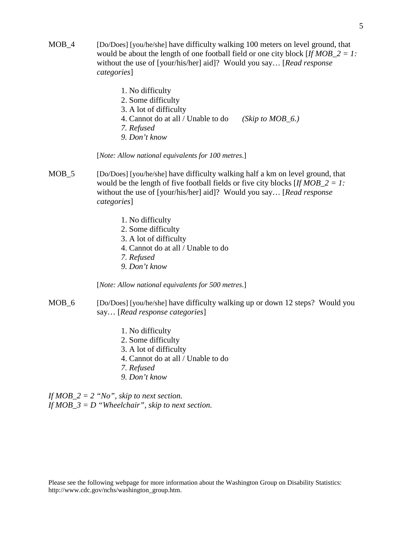- MOB\_4 [Do/Does] [you/he/she] have difficulty walking 100 meters on level ground, that would be about the length of one football field or one city block [*If MOB\_2 = 1:*  without the use of [your/his/her] aid]? Would you say… [*Read response categories*]
	- 1. No difficulty 2. Some difficulty 3. A lot of difficulty 4. Cannot do at all / Unable to do *(Skip to MOB\_6.) 7. Refused 9. Don't know*

[*Note: Allow national equivalents for 100 metres.*]

- MOB<sub>\_5</sub> [Do/Does] [you/he/she] have difficulty walking half a km on level ground, that would be the length of five football fields or five city blocks [*If MOB\_2 = 1:*  without the use of [your/his/her] aid]? Would you say… [*Read response categories*]
	- 1. No difficulty
	- 2. Some difficulty
	- 3. A lot of difficulty
	- 4. Cannot do at all / Unable to do
	- *7. Refused*
	- *9. Don't know*

[*Note: Allow national equivalents for 500 metres.*]

- MOB<sub>\_6</sub> [Do/Does] [you/he/she] have difficulty walking up or down 12 steps? Would you say… [*Read response categories*]
	- 1. No difficulty
	- 2. Some difficulty
	- 3. A lot of difficulty
	- 4. Cannot do at all / Unable to do
	- *7. Refused*
	- *9. Don't know*

*If MOB\_2 = 2 "No", skip to next section. If MOB\_3 = D "Wheelchair", skip to next section.*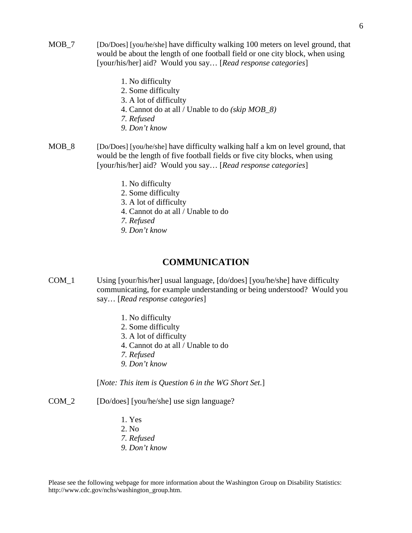- MOB<sub>\_7</sub> [Do/Does] [you/he/she] have difficulty walking 100 meters on level ground, that would be about the length of one football field or one city block, when using [your/his/her] aid? Would you say… [*Read response categories*]
	- 1. No difficulty
	- 2. Some difficulty
	- 3. A lot of difficulty
	- 4. Cannot do at all / Unable to do *(skip MOB\_8)*
	- *7. Refused*
	- *9. Don't know*
- MOB<sub>\_8</sub> [Do/Does] [you/he/she] have difficulty walking half a km on level ground, that would be the length of five football fields or five city blocks, when using [your/his/her] aid? Would you say… [*Read response categories*]
	- 1. No difficulty
	- 2. Some difficulty
	- 3. A lot of difficulty
	- 4. Cannot do at all / Unable to do
	- *7. Refused*
	- *9. Don't know*

#### **COMMUNICATION**

- COM\_1 Using [your/his/her] usual language, [do/does] [you/he/she] have difficulty communicating, for example understanding or being understood? Would you say… [*Read response categories*]
	- 1. No difficulty
	- 2. Some difficulty
	- 3. A lot of difficulty
	- 4. Cannot do at all / Unable to do
	- *7. Refused*
	- *9. Don't know*

[*Note: This item is Question 6 in the WG Short Set.*]

- COM\_2 [Do/does] [you/he/she] use sign language?
	- 1. Yes
	- 2. No
	- *7. Refused*
	- *9. Don't know*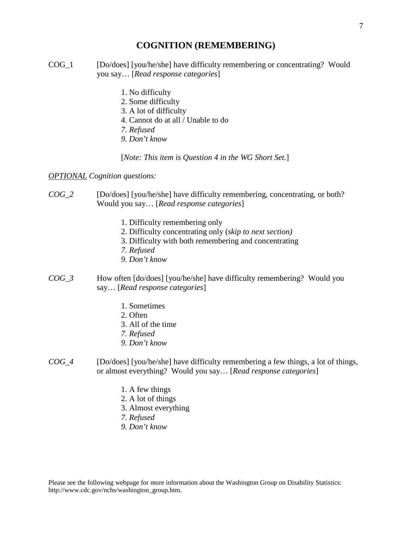## **COGNITION (REMEMBERING)**

- COG\_1 [Do/does] [you/he/she] have difficulty remembering or concentrating? Would you say… [*Read response categories*]
	- 1. No difficulty
	- 2. Some difficulty
	- 3. A lot of difficulty
	- 4. Cannot do at all / Unable to do
	- *7. Refused*
	- *9. Don't know*

[*Note: This item is Question 4 in the WG Short Set.*]

#### *OPTIONAL Cognition questions:*

- *COG\_2* [Do/does] [you/he/she] have difficulty remembering, concentrating, or both? Would you say… [*Read response categories*]
	- 1. Difficulty remembering only
	- 2. Difficulty concentrating only (*skip to next section)*
	- 3. Difficulty with both remembering and concentrating
	- *7. Refused*
	- *9. Don't know*
- *COG\_3* How often [do/does] [you/he/she] have difficulty remembering? Would you say… [*Read response categories*]
	- 1. Sometimes
	- 2. Often
	- 3. All of the time
	- *7. Refused*
	- *9. Don't know*
- *COG\_4* [Do/does] [you/he/she] have difficulty remembering a few things, a lot of things, or almost everything? Would you say… [*Read response categories*]
	- 1. A few things
	- 2. A lot of things
	- 3. Almost everything
	- *7. Refused*
	- *9. Don't know*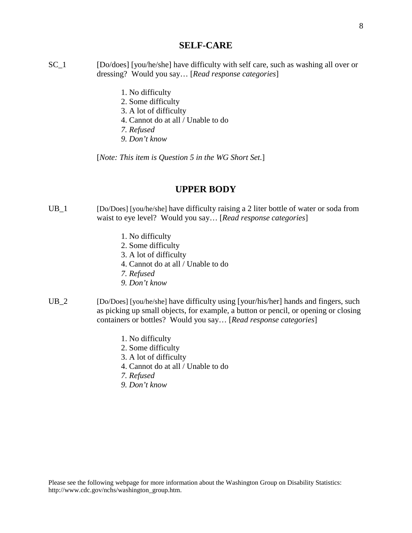#### **SELF-CARE**

- SC<sub>1</sub> [Do/does] [you/he/she] have difficulty with self care, such as washing all over or dressing? Would you say… [*Read response categories*]
	- 1. No difficulty
	- 2. Some difficulty
	- 3. A lot of difficulty
	- 4. Cannot do at all / Unable to do
	- *7. Refused*
	- *9. Don't know*

[*Note: This item is Question 5 in the WG Short Set.*]

## **UPPER BODY**

- UB<sub>1</sub> [Do/Does] [you/he/she] have difficulty raising a 2 liter bottle of water or soda from waist to eye level? Would you say… [*Read response categories*]
	- 1. No difficulty
	- 2. Some difficulty
	- 3. A lot of difficulty
	- 4. Cannot do at all / Unable to do
	- *7. Refused*
	- *9. Don't know*
- UB<sub>\_2</sub> [Do/Does] [you/he/she] have difficulty using [your/his/her] hands and fingers, such as picking up small objects, for example, a button or pencil, or opening or closing containers or bottles? Would you say… [*Read response categories*]
	- 1. No difficulty
	- 2. Some difficulty
	- 3. A lot of difficulty
	- 4. Cannot do at all / Unable to do
	- *7. Refused*
	- *9. Don't know*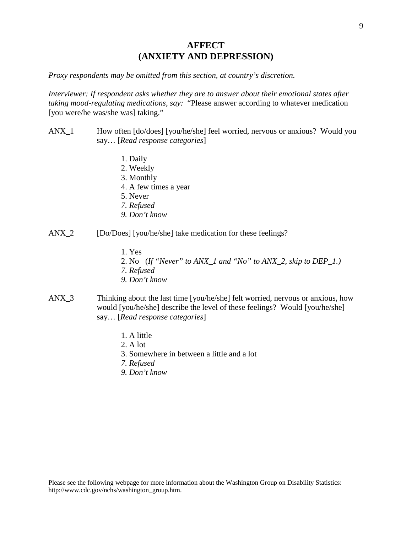# **AFFECT (ANXIETY AND DEPRESSION)**

*Proxy respondents may be omitted from this section, at country's discretion.*

*Interviewer: If respondent asks whether they are to answer about their emotional states after taking mood-regulating medications, say:* "Please answer according to whatever medication [you were/he was/she was] taking."

- ANX\_1 How often [do/does] [you/he/she] feel worried, nervous or anxious? Would you say… [*Read response categories*]
	- 1. Daily
	- 2. Weekly
	- 3. Monthly
	- 4. A few times a year
	- 5. Never
	- *7. Refused*
	- *9. Don't know*
- ANX\_2 [Do/Does] [you/he/she] take medication for these feelings?
	- 1. Yes
	- 2. No (*If "Never" to ANX\_1 and "No" to ANX\_2, skip to DEP\_1.)*
	- *7. Refused*
	- *9. Don't know*
- ANX\_3 Thinking about the last time [you/he/she] felt worried, nervous or anxious, how would [you/he/she] describe the level of these feelings? Would [you/he/she] say… [*Read response categories*]
	- 1. A little
	- 2. A lot
	- 3. Somewhere in between a little and a lot
	- *7. Refused*
	- *9. Don't know*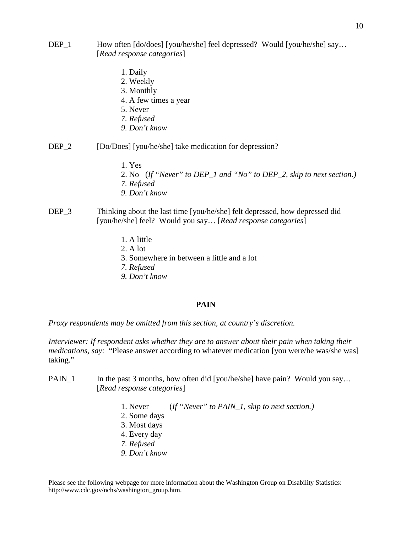- DEP\_1 How often [do/does] [you/he/she] feel depressed? Would [you/he/she] say... [*Read response categories*]
	- 1. Daily
	- 2. Weekly
	- 3. Monthly
	- 4. A few times a year
	- 5. Never
	- *7. Refused*
	- *9. Don't know*
- DEP<sub>\_2</sub> [Do/Does] [you/he/she] take medication for depression?
	- 1. Yes
	- 2. No (*If "Never" to DEP\_1 and "No" to DEP\_2, skip to next section.)*
	- *7. Refused*
	- *9. Don't know*
- DEP\_3 Thinking about the last time [you/he/she] felt depressed, how depressed did [you/he/she] feel? Would you say… [*Read response categories*]
	- 1. A little
	- 2. A lot
	- 3. Somewhere in between a little and a lot
	- *7. Refused*
	- *9. Don't know*

#### **PAIN**

*Proxy respondents may be omitted from this section, at country's discretion.*

*Interviewer: If respondent asks whether they are to answer about their pain when taking their medications, say:* "Please answer according to whatever medication [you were/he was/she was] taking."

- PAIN\_1 In the past 3 months, how often did [you/he/she] have pain? Would you say... [*Read response categories*]
	- 1. Never (*If "Never" to PAIN\_1, skip to next section.)*
	- 2. Some days
	- 3. Most days
	- 4. Every day
	- *7. Refused*
	- *9. Don't know*